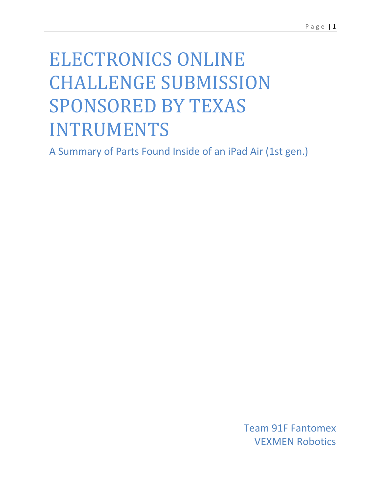# ELECTRONICS ONLINE CHALLENGE SUBMISSION SPONSORED BY TEXAS INTRUMENTS

A Summary of Parts Found Inside of an iPad Air (1st gen.)

Team 91F Fantomex VEXMEN Robotics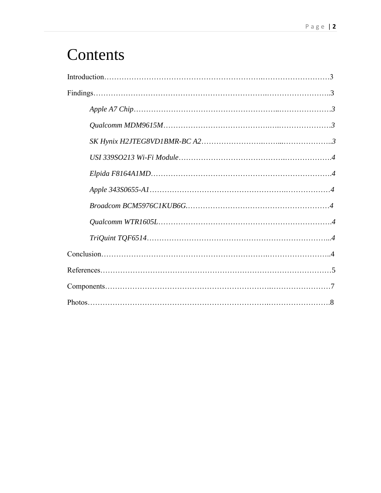## **Contents**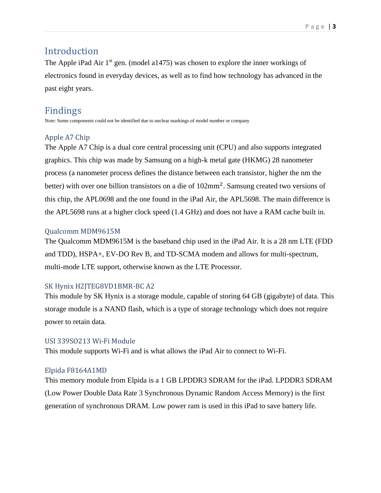#### Introduction

The Apple iPad Air 1<sup>st</sup> gen. (model a1475) was chosen to explore the inner workings of electronics found in everyday devices, as well as to find how technology has advanced in the past eight years.

#### Findings

Note: Some components could not be identified due to unclear markings of model number or company

#### Apple A7 Chip

The Apple A7 Chip is a dual core central processing unit (CPU) and also supports integrated graphics. This chip was made by Samsung on a high-k metal gate (HKMG) 28 nanometer process (a nanometer process defines the distance between each transistor, higher the nm the better) with over one billion transistors on a die of 102mm<sup>2</sup>. Samsung created two versions of this chip, the APL0698 and the one found in the iPad Air, the APL5698. The main difference is the APL5698 runs at a higher clock speed (1.4 GHz) and does not have a RAM cache built in.

#### Qualcomm MDM9615M

The Qualcomm MDM9615M is the baseband chip used in the iPad Air. It is a 28 nm LTE (FDD and TDD), HSPA+, EV-DO Rev B, and TD-SCMA modem and allows for multi-spectrum, multi-mode LTE support, otherwise known as the LTE Processor.

#### SK Hynix H2JTEG8VD1BMR-BC A2

This module by SK Hynix is a storage module, capable of storing 64 GB (gigabyte) of data. This storage module is a NAND flash, which is a type of storage technology which does not require power to retain data.

#### USI 339SO213 Wi-Fi Module

This module supports Wi-Fi and is what allows the iPad Air to connect to Wi-Fi.

#### Elpida F8164A1MD

This memory module from Elpida is a 1 GB LPDDR3 SDRAM for the iPad. LPDDR3 SDRAM (Low Power Double Data Rate 3 Synchronous Dynamic Random Access Memory) is the first generation of synchronous DRAM. Low power ram is used in this iPad to save battery life.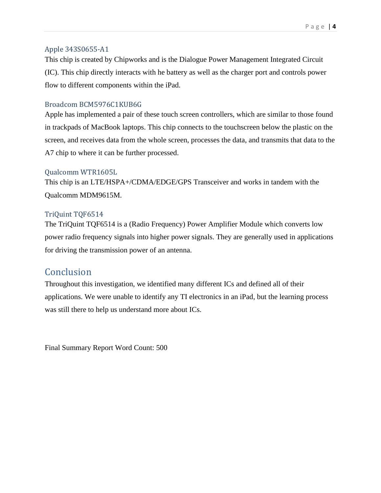#### Apple 343S0655-A1

This chip is created by Chipworks and is the Dialogue Power Management Integrated Circuit (IC). This chip directly interacts with he battery as well as the charger port and controls power flow to different components within the iPad.

#### Broadcom BCM5976C1KUB6G

Apple has implemented a pair of these touch screen controllers, which are similar to those found in trackpads of MacBook laptops. This chip connects to the touchscreen below the plastic on the screen, and receives data from the whole screen, processes the data, and transmits that data to the A7 chip to where it can be further processed.

#### Qualcomm WTR1605L

This chip is an LTE/HSPA+/CDMA/EDGE/GPS Transceiver and works in tandem with the Qualcomm MDM9615M.

#### TriQuint TQF6514

The TriQuint TQF6514 is a (Radio Frequency) Power Amplifier Module which converts low power radio frequency signals into higher power signals. They are generally used in applications for driving the transmission power of an antenna.

#### **Conclusion**

Throughout this investigation, we identified many different ICs and defined all of their applications. We were unable to identify any TI electronics in an iPad, but the learning process was still there to help us understand more about ICs.

Final Summary Report Word Count: 500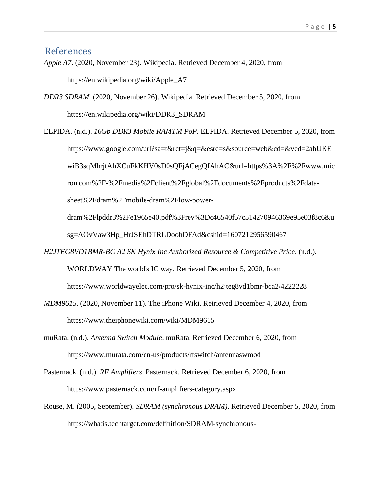#### References

- *Apple A7*. (2020, November 23). Wikipedia. Retrieved December 4, 2020, from https://en.wikipedia.org/wiki/Apple\_A7
- *DDR3 SDRAM*. (2020, November 26). Wikipedia. Retrieved December 5, 2020, from https://en.wikipedia.org/wiki/DDR3\_SDRAM
- ELPIDA. (n.d.). *16Gb DDR3 Mobile RAMTM PoP*. ELPIDA. Retrieved December 5, 2020, from https://www.google.com/url?sa=t&rct=j&q=&esrc=s&source=web&cd=&ved=2ahUKE wiB3sqMhrjtAhXCuFkKHV0sD0sQFjACegQIAhAC&url=https%3A%2F%2Fwww.mic ron.com%2F-%2Fmedia%2Fclient%2Fglobal%2Fdocuments%2Fproducts%2Fdatasheet%2Fdram%2Fmobile-dram%2Flow-power-

dram%2Flpddr3%2Fe1965e40.pdf%3Frev%3Dc46540f57c514270946369e95e03f8c6&u sg=AOvVaw3Hp\_HrJSEhDTRLDoohDFAd&cshid=1607212956590467

- *H2JTEG8VD1BMR-BC A2 SK Hynix Inc Authorized Resource & Competitive Price*. (n.d.). WORLDWAY The world's IC way. Retrieved December 5, 2020, from https://www.worldwayelec.com/pro/sk-hynix-inc/h2jteg8vd1bmr-bca2/4222228
- *MDM9615*. (2020, November 11). The iPhone Wiki. Retrieved December 4, 2020, from https://www.theiphonewiki.com/wiki/MDM9615
- muRata. (n.d.). *Antenna Switch Module*. muRata. Retrieved December 6, 2020, from https://www.murata.com/en-us/products/rfswitch/antennaswmod
- Pasternack. (n.d.). *RF Amplifiers*. Pasternack. Retrieved December 6, 2020, from https://www.pasternack.com/rf-amplifiers-category.aspx
- Rouse, M. (2005, September). *SDRAM (synchronous DRAM)*. Retrieved December 5, 2020, from https://whatis.techtarget.com/definition/SDRAM-synchronous-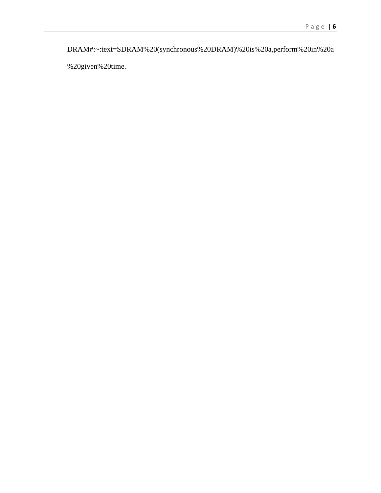DRAM#:~:text=SDRAM%20(synchronous%20DRAM)%20is%20a,perform%20in%20a

%20given%20time.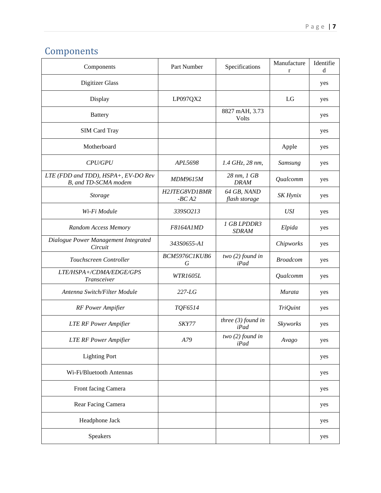## **Components**

| Components                                                  | Part Number              | Specifications               | Manufacture<br>$\mathbf{r}$ | Identifie<br>d |
|-------------------------------------------------------------|--------------------------|------------------------------|-----------------------------|----------------|
| <b>Digitizer Glass</b>                                      |                          |                              |                             | yes            |
| Display                                                     | LP097QX2                 |                              | LG                          | yes            |
| <b>Battery</b>                                              |                          | 8827 mAH, 3.73<br>Volts      |                             | yes            |
| <b>SIM Card Tray</b>                                        |                          |                              |                             | yes            |
| Motherboard                                                 |                          |                              | Apple                       | yes            |
| <b>CPU/GPU</b>                                              | APL5698                  | 1.4 GHz, 28 nm,              | Samsung                     | yes            |
| LTE (FDD and TDD), HSPA+, EV-DO Rev<br>B, and TD-SCMA modem | MDM9615M                 | 28 nm, 1 GB<br><b>DRAM</b>   | Qualcomm                    | yes            |
| <b>Storage</b>                                              | H2JTEG8VD1BMR<br>$-BCA2$ | 64 GB, NAND<br>flash storage | SK Hynix                    | yes            |
| Wi-Fi Module                                                | 339SO213                 |                              | <b>USI</b>                  | yes            |
| Random Access Memory                                        | F8164A1MD                | 1 GB LPDDR3<br><b>SDRAM</b>  | Elpida                      | yes            |
| Dialogue Power Management Integrated<br>Circuit             | 343S0655-A1              |                              | Chipworks                   | yes            |
| Touchscreen Controller                                      | BCM5976C1KUB6<br>G       | two $(2)$ found in<br>iPad   | <b>Broadcom</b>             | yes            |
| LTE/HSPA+/CDMA/EDGE/GPS<br>Transceiver                      | <b>WTR1605L</b>          |                              | Qualcomm                    | yes            |
| Antenna Switch/Filter Module                                | $227-LG$                 |                              | Murata                      | yes            |
| <b>RF</b> Power Ampifier                                    | TQF6514                  |                              | <b>TriQuint</b>             | yes            |
| <b>LTE RF Power Ampifier</b>                                | SKY77                    | three $(3)$ found in<br>iPad | Skyworks                    | yes            |
| <b>LTE RF Power Ampifier</b>                                | A79                      | two $(2)$ found in<br>iPad   | Avago                       | yes            |
| <b>Lighting Port</b>                                        |                          |                              |                             | yes            |
| Wi-Fi/Bluetooth Antennas                                    |                          |                              |                             | yes            |
| Front facing Camera                                         |                          |                              |                             | yes            |
| Rear Facing Camera                                          |                          |                              |                             | yes            |
| Headphone Jack                                              |                          |                              |                             | yes            |
| Speakers                                                    |                          |                              |                             | yes            |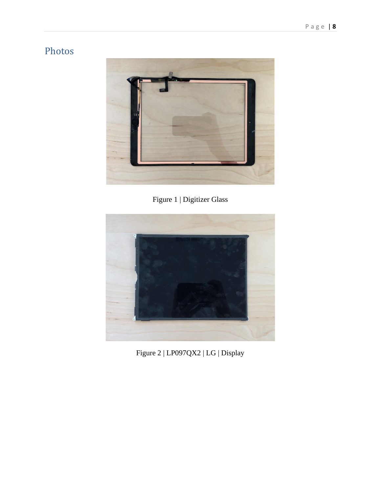### Photos



Figure 1 | Digitizer Glass



Figure 2 | LP097QX2 | LG | Display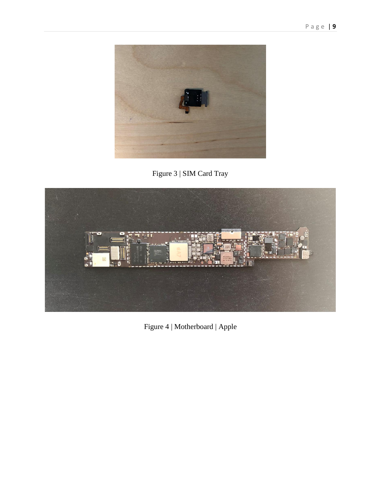





Figure 4 | Motherboard | Apple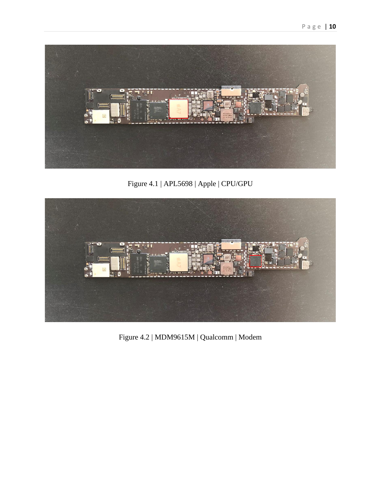

Figure 4.1 | APL5698 | Apple | CPU/GPU



Figure 4.2 | MDM9615M | Qualcomm | Modem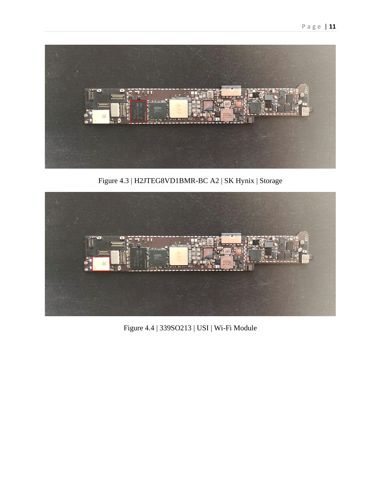

Figure 4.3 | H2JTEG8VD1BMR-BC A2 | SK Hynix | Storage



Figure 4.4 | 339SO213 | USI | Wi-Fi Module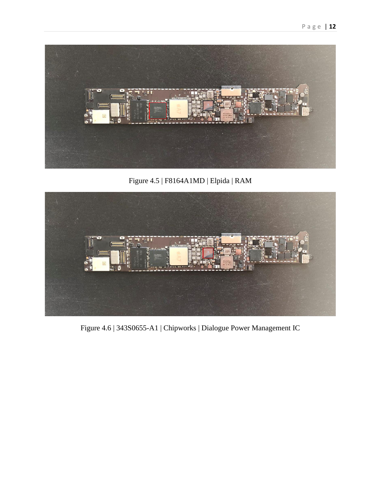

Figure 4.5 | F8164A1MD | Elpida | RAM



Figure 4.6 | 343S0655-A1 | Chipworks | Dialogue Power Management IC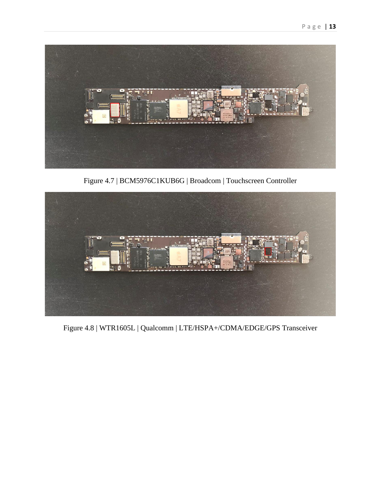

Figure 4.7 | BCM5976C1KUB6G | Broadcom | Touchscreen Controller



Figure 4.8 | WTR1605L | Qualcomm | LTE/HSPA+/CDMA/EDGE/GPS Transceiver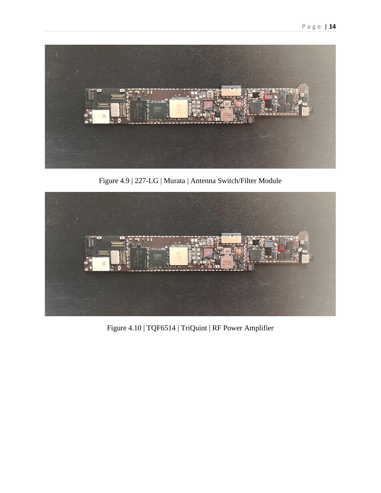

Figure 4.9 | 227-LG | Murata | Antenna Switch/Filter Module



Figure 4.10 | TQF6514 | TriQuint | RF Power Amplifier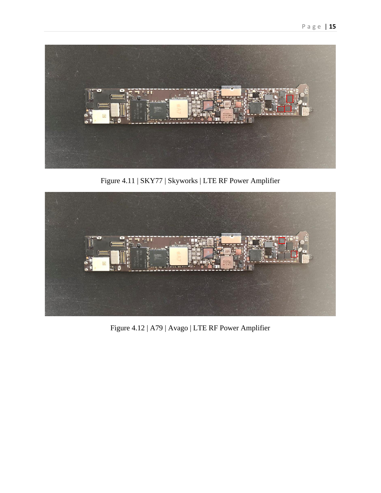

Figure 4.11 | SKY77 | Skyworks | LTE RF Power Amplifier



Figure 4.12 | A79 | Avago | LTE RF Power Amplifier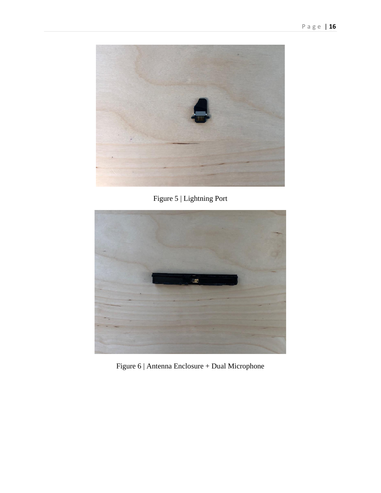

Figure 5 | Lightning Port



Figure 6 | Antenna Enclosure + Dual Microphone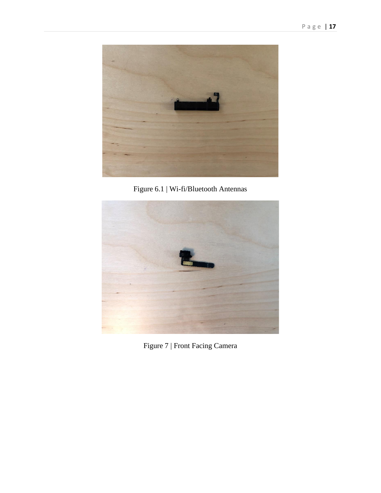

Figure 6.1 | Wi-fi/Bluetooth Antennas



Figure 7 | Front Facing Camera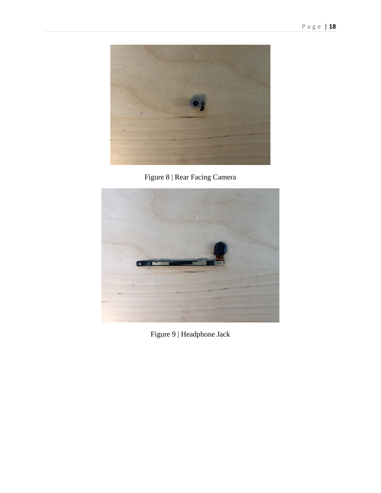

Figure 8 | Rear Facing Camera



Figure 9 | Headphone Jack